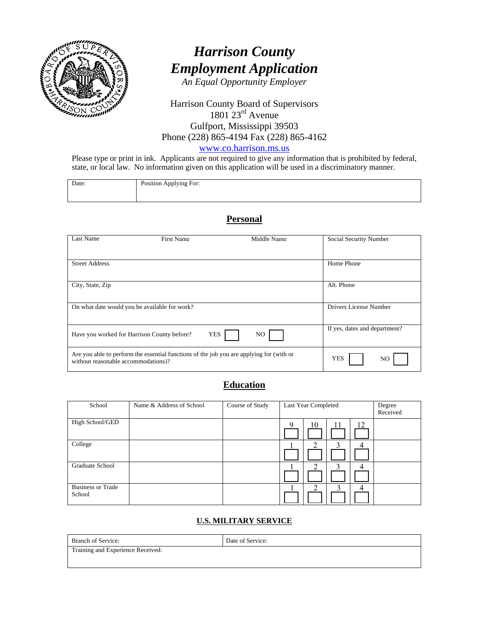

# *Harrison County Employment Application*

*An Equal Opportunity Employer* 

#### Harrison County Board of Supervisors  $1801$   $23<sup>rd</sup>$  Avenue Gulfport, Mississippi 39503 Phone (228) 865-4194 Fax (228) 865-4162

www.co.harrison.ms.us

Please type or print in ink. Applicants are not required to give any information that is prohibited by federal, state, or local law. No information given on this application will be used in a discriminatory manner.

| Position Applying For: |
|------------------------|
|                        |
|                        |
|                        |
|                        |
|                        |

#### **Personal**

| Last Name                                   | <b>First Name</b>                                                                        |            | Middle Name | Social Security Number        |     |
|---------------------------------------------|------------------------------------------------------------------------------------------|------------|-------------|-------------------------------|-----|
| <b>Street Address</b>                       |                                                                                          |            |             | Home Phone                    |     |
| City, State, Zip                            |                                                                                          |            |             | Alt. Phone                    |     |
|                                             | On what date would you be available for work?                                            |            |             | Drivers License Number        |     |
| Have you worked for Harrison County before? |                                                                                          | <b>YES</b> | NO.         | If yes, dates and department? |     |
| without reasonable accommodations)?         | Are you able to perform the essential functions of the job you are applying for (with or |            |             | <b>YES</b>                    | NO. |

## **Education**

| School                             | Name & Address of School | Course of Study | Last Year Completed | Degree<br>Received |
|------------------------------------|--------------------------|-----------------|---------------------|--------------------|
| High School/GED                    |                          |                 | 12<br>10<br>Q       |                    |
| College                            |                          |                 |                     |                    |
| Graduate School                    |                          |                 | ◠                   |                    |
| <b>Business or Trade</b><br>School |                          |                 |                     |                    |

#### **U.S. MILITARY SERVICE**

| <b>Branch of Service:</b>         | Date of Service: |
|-----------------------------------|------------------|
| Training and Experience Received: |                  |
|                                   |                  |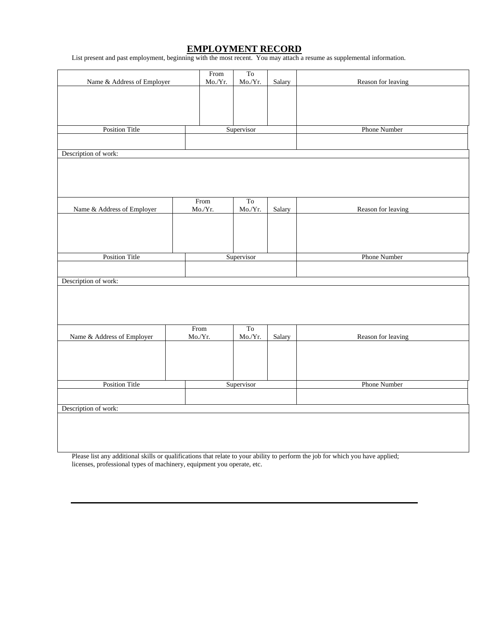#### **EMPLOYMENT RECORD**

List present and past employment, beginning with the most recent. You may attach a resume as supplemental information.

| Name & Address of Employer |  | From<br>Mo./Yr.   | T <sub>o</sub><br>Mo/Yr. | Salary | Reason for leaving |
|----------------------------|--|-------------------|--------------------------|--------|--------------------|
|                            |  |                   |                          |        |                    |
|                            |  |                   |                          |        |                    |
|                            |  |                   |                          |        |                    |
| <b>Position Title</b>      |  |                   | Supervisor               |        | Phone Number       |
| Description of work:       |  |                   |                          |        |                    |
|                            |  |                   |                          |        |                    |
|                            |  |                   |                          |        |                    |
|                            |  |                   |                          |        |                    |
| Name & Address of Employer |  | From<br>$Mo./Yr.$ | To<br>Mo/Yr.             | Salary | Reason for leaving |
|                            |  |                   |                          |        |                    |
|                            |  |                   |                          |        |                    |
|                            |  |                   |                          |        |                    |
| <b>Position Title</b>      |  |                   | Supervisor               |        | Phone Number       |
|                            |  |                   |                          |        |                    |
| Description of work:       |  |                   |                          |        |                    |
|                            |  |                   |                          |        |                    |
|                            |  |                   |                          |        |                    |
| Name & Address of Employer |  | From<br>Mo./Yr.   | To<br>Mo./Yr.            | Salary | Reason for leaving |
|                            |  |                   |                          |        |                    |
|                            |  |                   |                          |        |                    |
|                            |  |                   |                          |        |                    |
| <b>Position Title</b>      |  |                   | Supervisor               |        | Phone Number       |
|                            |  |                   |                          |        |                    |
| Description of work:       |  |                   |                          |        |                    |
|                            |  |                   |                          |        |                    |
|                            |  |                   |                          |        |                    |
|                            |  |                   |                          |        |                    |

Please list any additional skills or qualifications that relate to your ability to perform the job for which you have applied; licenses, professional types of machinery, equipment you operate, etc.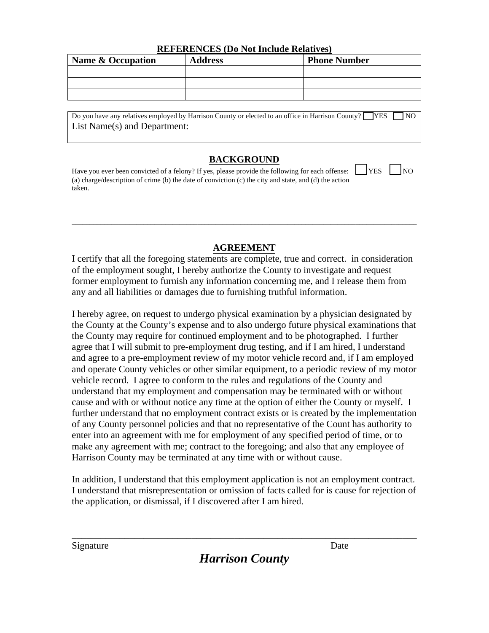| Name & Occupation | <b>Address</b> | <b>Phone Number</b> |  |  |  |
|-------------------|----------------|---------------------|--|--|--|
|                   |                |                     |  |  |  |
|                   |                |                     |  |  |  |
|                   |                |                     |  |  |  |

Do you have any relatives employed by Harrison County or elected to an office in Harrison County?  $\Box$  YES  $\Box$  NO List Name(s) and Department:

## **BACKGROUND**

Have you ever been convicted of a felony? If yes, please provide the following for each offense:  $\Box$  YES  $\Box$  NO (a) charge/description of crime (b) the date of conviction (c) the city and state, and (d) the action taken.

## **AGREEMENT**

 $\Box$ 

I certify that all the foregoing statements are complete, true and correct. in consideration of the employment sought, I hereby authorize the County to investigate and request former employment to furnish any information concerning me, and I release them from any and all liabilities or damages due to furnishing truthful information.

I hereby agree, on request to undergo physical examination by a physician designated by the County at the County's expense and to also undergo future physical examinations that the County may require for continued employment and to be photographed. I further agree that I will submit to pre-employment drug testing, and if I am hired, I understand and agree to a pre-employment review of my motor vehicle record and, if I am employed and operate County vehicles or other similar equipment, to a periodic review of my motor vehicle record. I agree to conform to the rules and regulations of the County and understand that my employment and compensation may be terminated with or without cause and with or without notice any time at the option of either the County or myself. I further understand that no employment contract exists or is created by the implementation of any County personnel policies and that no representative of the Count has authority to enter into an agreement with me for employment of any specified period of time, or to make any agreement with me; contract to the foregoing; and also that any employee of Harrison County may be terminated at any time with or without cause.

In addition, I understand that this employment application is not an employment contract. I understand that misrepresentation or omission of facts called for is cause for rejection of the application, or dismissal, if I discovered after I am hired.

\_\_\_\_\_\_\_\_\_\_\_\_\_\_\_\_\_\_\_\_\_\_\_\_\_\_\_\_\_\_\_\_\_\_\_\_\_\_\_\_\_\_\_\_\_\_\_\_\_\_\_\_\_\_\_\_\_\_\_\_\_\_\_\_\_\_\_\_\_\_\_\_